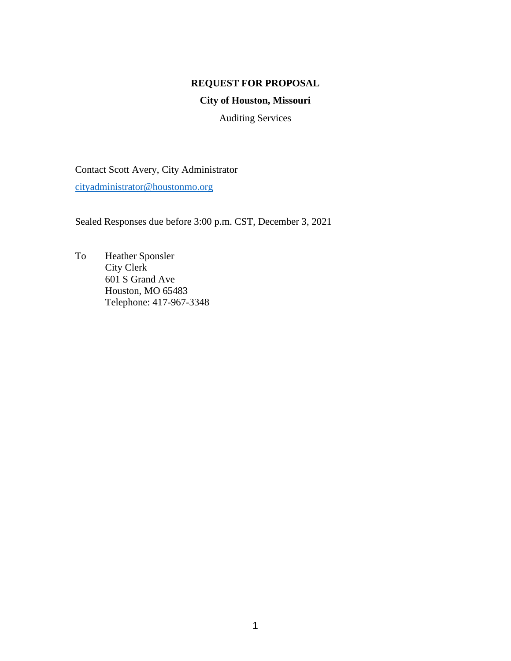## **REQUEST FOR PROPOSAL**

# **City of Houston, Missouri**

Auditing Services

Contact Scott Avery, City Administrator [cityadministrator@houstonmo.org](mailto:cityadministrator@houstonmo.org)

Sealed Responses due before 3:00 p.m. CST, December 3, 2021

To Heather Sponsler City Clerk 601 S Grand Ave Houston, MO 65483 Telephone: 417-967-3348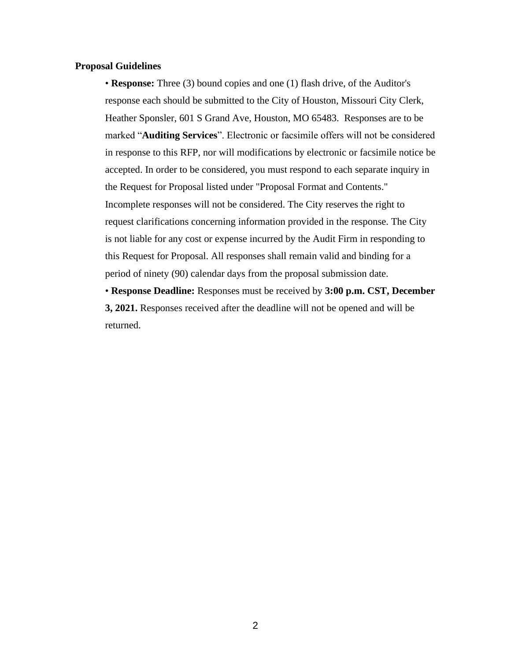#### **Proposal Guidelines**

• **Response:** Three (3) bound copies and one (1) flash drive, of the Auditor's response each should be submitted to the City of Houston, Missouri City Clerk, Heather Sponsler, 601 S Grand Ave, Houston, MO 65483. Responses are to be marked "**Auditing Services**". Electronic or facsimile offers will not be considered in response to this RFP, nor will modifications by electronic or facsimile notice be accepted. In order to be considered, you must respond to each separate inquiry in the Request for Proposal listed under "Proposal Format and Contents." Incomplete responses will not be considered. The City reserves the right to request clarifications concerning information provided in the response. The City is not liable for any cost or expense incurred by the Audit Firm in responding to this Request for Proposal. All responses shall remain valid and binding for a period of ninety (90) calendar days from the proposal submission date.

• **Response Deadline:** Responses must be received by **3:00 p.m. CST, December 3, 2021.** Responses received after the deadline will not be opened and will be returned.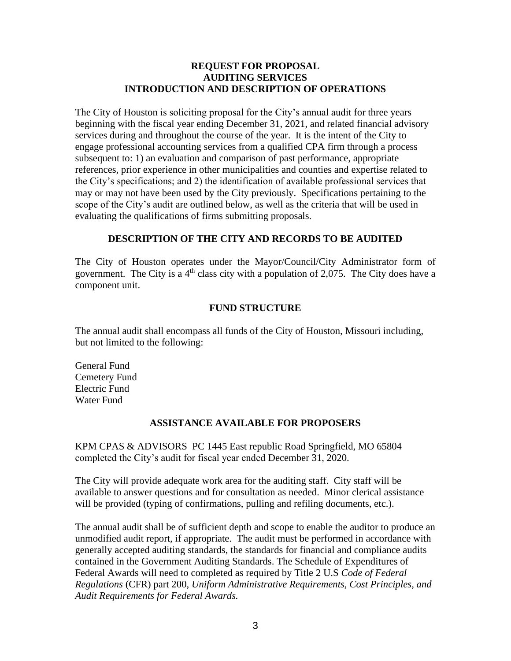## **REQUEST FOR PROPOSAL AUDITING SERVICES INTRODUCTION AND DESCRIPTION OF OPERATIONS**

The City of Houston is soliciting proposal for the City's annual audit for three years beginning with the fiscal year ending December 31, 2021, and related financial advisory services during and throughout the course of the year. It is the intent of the City to engage professional accounting services from a qualified CPA firm through a process subsequent to: 1) an evaluation and comparison of past performance, appropriate references, prior experience in other municipalities and counties and expertise related to the City's specifications; and 2) the identification of available professional services that may or may not have been used by the City previously. Specifications pertaining to the scope of the City's audit are outlined below, as well as the criteria that will be used in evaluating the qualifications of firms submitting proposals.

## **DESCRIPTION OF THE CITY AND RECORDS TO BE AUDITED**

The City of Houston operates under the Mayor/Council/City Administrator form of government. The City is a  $4<sup>th</sup>$  class city with a population of 2,075. The City does have a component unit.

## **FUND STRUCTURE**

The annual audit shall encompass all funds of the City of Houston, Missouri including, but not limited to the following:

General Fund Cemetery Fund Electric Fund Water Fund

## **ASSISTANCE AVAILABLE FOR PROPOSERS**

KPM CPAS & ADVISORS PC 1445 East republic Road Springfield, MO 65804 completed the City's audit for fiscal year ended December 31, 2020.

The City will provide adequate work area for the auditing staff. City staff will be available to answer questions and for consultation as needed. Minor clerical assistance will be provided (typing of confirmations, pulling and refiling documents, etc.).

The annual audit shall be of sufficient depth and scope to enable the auditor to produce an unmodified audit report, if appropriate. The audit must be performed in accordance with generally accepted auditing standards, the standards for financial and compliance audits contained in the Government Auditing Standards. The Schedule of Expenditures of Federal Awards will need to completed as required by Title 2 U.S *Code of Federal Regulations* (CFR) part 200, *Uniform Administrative Requirements, Cost Principles, and Audit Requirements for Federal Awards.*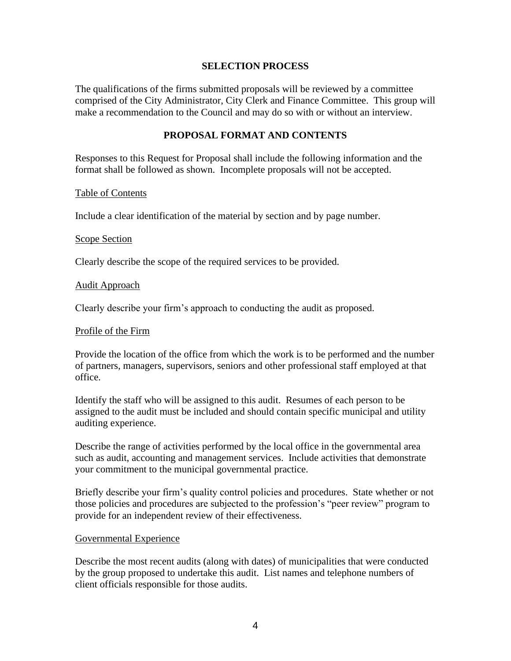### **SELECTION PROCESS**

The qualifications of the firms submitted proposals will be reviewed by a committee comprised of the City Administrator, City Clerk and Finance Committee. This group will make a recommendation to the Council and may do so with or without an interview.

### **PROPOSAL FORMAT AND CONTENTS**

Responses to this Request for Proposal shall include the following information and the format shall be followed as shown. Incomplete proposals will not be accepted.

#### Table of Contents

Include a clear identification of the material by section and by page number.

#### Scope Section

Clearly describe the scope of the required services to be provided.

#### Audit Approach

Clearly describe your firm's approach to conducting the audit as proposed.

#### Profile of the Firm

Provide the location of the office from which the work is to be performed and the number of partners, managers, supervisors, seniors and other professional staff employed at that office.

Identify the staff who will be assigned to this audit. Resumes of each person to be assigned to the audit must be included and should contain specific municipal and utility auditing experience.

Describe the range of activities performed by the local office in the governmental area such as audit, accounting and management services. Include activities that demonstrate your commitment to the municipal governmental practice.

Briefly describe your firm's quality control policies and procedures. State whether or not those policies and procedures are subjected to the profession's "peer review" program to provide for an independent review of their effectiveness.

### Governmental Experience

Describe the most recent audits (along with dates) of municipalities that were conducted by the group proposed to undertake this audit. List names and telephone numbers of client officials responsible for those audits.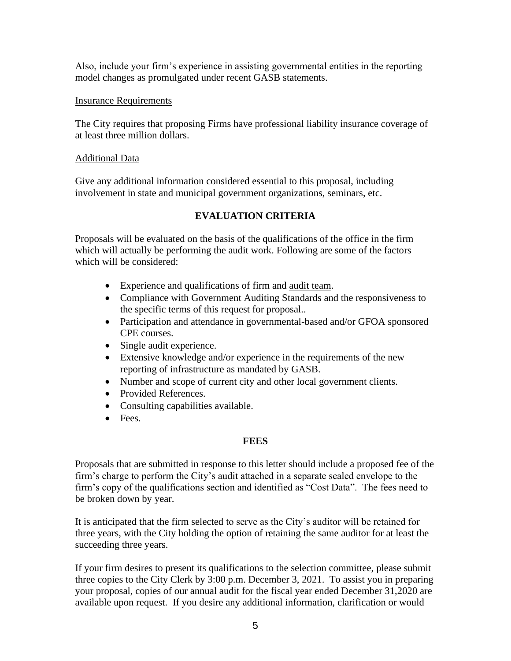Also, include your firm's experience in assisting governmental entities in the reporting model changes as promulgated under recent GASB statements.

## Insurance Requirements

The City requires that proposing Firms have professional liability insurance coverage of at least three million dollars.

### Additional Data

Give any additional information considered essential to this proposal, including involvement in state and municipal government organizations, seminars, etc.

# **EVALUATION CRITERIA**

Proposals will be evaluated on the basis of the qualifications of the office in the firm which will actually be performing the audit work. Following are some of the factors which will be considered:

- Experience and qualifications of firm and audit team.
- Compliance with Government Auditing Standards and the responsiveness to the specific terms of this request for proposal..
- Participation and attendance in governmental-based and/or GFOA sponsored CPE courses.
- Single audit experience.
- Extensive knowledge and/or experience in the requirements of the new reporting of infrastructure as mandated by GASB.
- Number and scope of current city and other local government clients.
- Provided References.
- Consulting capabilities available.
- Fees.

## **FEES**

Proposals that are submitted in response to this letter should include a proposed fee of the firm's charge to perform the City's audit attached in a separate sealed envelope to the firm's copy of the qualifications section and identified as "Cost Data". The fees need to be broken down by year.

It is anticipated that the firm selected to serve as the City's auditor will be retained for three years, with the City holding the option of retaining the same auditor for at least the succeeding three years.

If your firm desires to present its qualifications to the selection committee, please submit three copies to the City Clerk by 3:00 p.m. December 3, 2021. To assist you in preparing your proposal, copies of our annual audit for the fiscal year ended December 31,2020 are available upon request. If you desire any additional information, clarification or would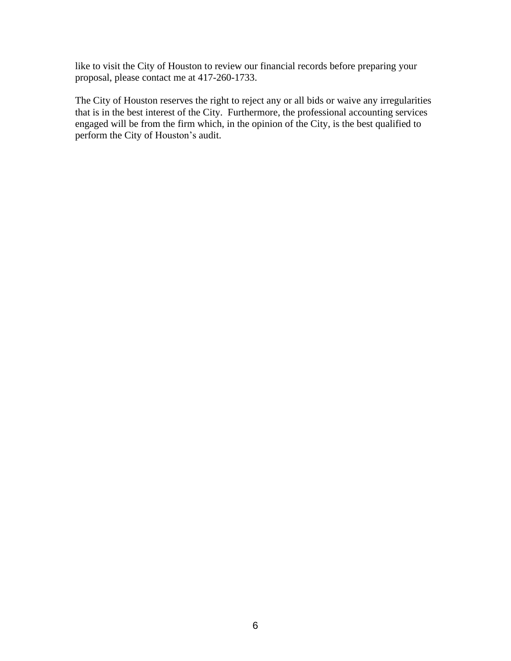like to visit the City of Houston to review our financial records before preparing your proposal, please contact me at 417-260-1733.

The City of Houston reserves the right to reject any or all bids or waive any irregularities that is in the best interest of the City. Furthermore, the professional accounting services engaged will be from the firm which, in the opinion of the City, is the best qualified to perform the City of Houston's audit.